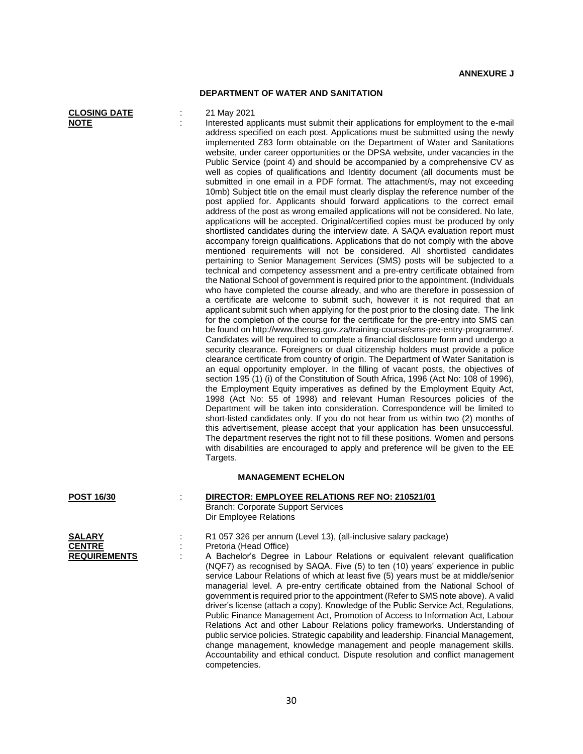## **DEPARTMENT OF WATER AND SANITATION**

| <b>CLOSING DATE</b> |  |
|---------------------|--|
| NOTE                |  |

## **CLOSING DATE** : 21 May 2021

Interested applicants must submit their applications for employment to the e-mail address specified on each post. Applications must be submitted using the newly implemented Z83 form obtainable on the Department of Water and Sanitations website, under career opportunities or the DPSA website, under vacancies in the Public Service (point 4) and should be accompanied by a comprehensive CV as well as copies of qualifications and Identity document (all documents must be submitted in one email in a PDF format. The attachment/s, may not exceeding 10mb) Subject title on the email must clearly display the reference number of the post applied for. Applicants should forward applications to the correct email address of the post as wrong emailed applications will not be considered. No late, applications will be accepted. Original/certified copies must be produced by only shortlisted candidates during the interview date. A SAQA evaluation report must accompany foreign qualifications. Applications that do not comply with the above mentioned requirements will not be considered. All shortlisted candidates pertaining to Senior Management Services (SMS) posts will be subjected to a technical and competency assessment and a pre-entry certificate obtained from the National School of government is required prior to the appointment. (Individuals who have completed the course already, and who are therefore in possession of a certificate are welcome to submit such, however it is not required that an applicant submit such when applying for the post prior to the closing date. The link for the completion of the course for the certificate for the pre-entry into SMS can be found on http://www.thensg.gov.za/training-course/sms-pre-entry-programme/. Candidates will be required to complete a financial disclosure form and undergo a security clearance. Foreigners or dual citizenship holders must provide a police clearance certificate from country of origin. The Department of Water Sanitation is an equal opportunity employer. In the filling of vacant posts, the objectives of section 195 (1) (i) of the Constitution of South Africa, 1996 (Act No: 108 of 1996), the Employment Equity imperatives as defined by the Employment Equity Act, 1998 (Act No: 55 of 1998) and relevant Human Resources policies of the Department will be taken into consideration. Correspondence will be limited to short-listed candidates only. If you do not hear from us within two (2) months of this advertisement, please accept that your application has been unsuccessful. The department reserves the right not to fill these positions. Women and persons with disabilities are encouraged to apply and preference will be given to the EE Targets.

## **MANAGEMENT ECHELON**

| <b>POST 16/30</b>                                     | DIRECTOR: EMPLOYEE RELATIONS REF NO: 210521/01<br><b>Branch: Corporate Support Services</b><br>Dir Employee Relations                                                                                                                                                                                                                           |
|-------------------------------------------------------|-------------------------------------------------------------------------------------------------------------------------------------------------------------------------------------------------------------------------------------------------------------------------------------------------------------------------------------------------|
| <b>SALARY</b><br><b>CENTRE</b><br><b>REQUIREMENTS</b> | R1 057 326 per annum (Level 13), (all-inclusive salary packa<br>Pretoria (Head Office)<br>A Bachelor's Degree in Labour Relations or equivalent r<br>(NQF7) as recognised by SAQA. Five (5) to ten (10) years'<br>service Labour Relations of which at least five (5) years must<br>managerial level. A pre-entry certificate obtained from the |

**SALARY** : R1 057 326 per annum (Level 13), (all-inclusive salary package)

ree in Labour Relations or equivalent relevant qualification ised by SAQA. Five (5) to ten (10) years' experience in public lations of which at least five (5) years must be at middle/senior managerial level. A pre-entry certificate obtained from the National School of government is required prior to the appointment (Refer to SMS note above). A valid driver's license (attach a copy). Knowledge of the Public Service Act, Regulations, Public Finance Management Act, Promotion of Access to Information Act, Labour Relations Act and other Labour Relations policy frameworks. Understanding of public service policies. Strategic capability and leadership. Financial Management, change management, knowledge management and people management skills. Accountability and ethical conduct. Dispute resolution and conflict management competencies.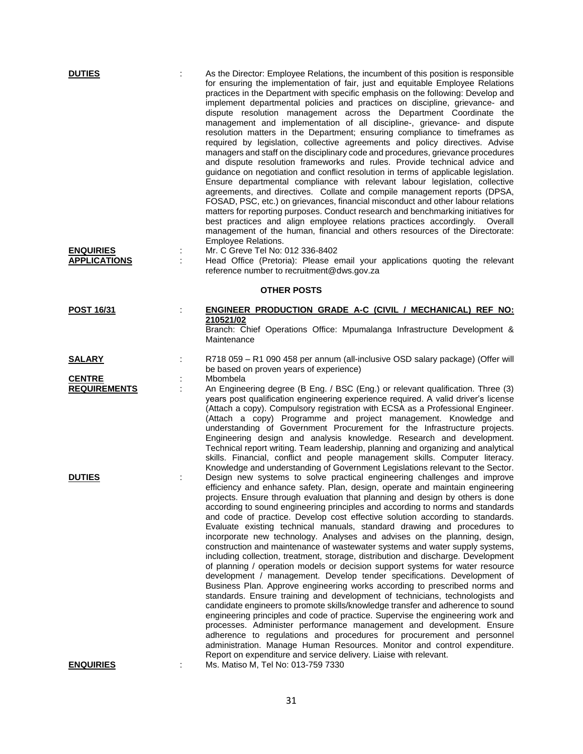| <b>DUTIES</b><br><b>ENQUIRIES</b><br><b>APPLICATIONS</b> | ÷ | As the Director: Employee Relations, the incumbent of this position is responsible<br>for ensuring the implementation of fair, just and equitable Employee Relations<br>practices in the Department with specific emphasis on the following: Develop and<br>implement departmental policies and practices on discipline, grievance- and<br>dispute resolution management across the Department Coordinate the<br>management and implementation of all discipline-, grievance- and dispute<br>resolution matters in the Department; ensuring compliance to timeframes as<br>required by legislation, collective agreements and policy directives. Advise<br>managers and staff on the disciplinary code and procedures, grievance procedures<br>and dispute resolution frameworks and rules. Provide technical advice and<br>guidance on negotiation and conflict resolution in terms of applicable legislation.<br>Ensure departmental compliance with relevant labour legislation, collective<br>agreements, and directives. Collate and compile management reports (DPSA,<br>FOSAD, PSC, etc.) on grievances, financial misconduct and other labour relations<br>matters for reporting purposes. Conduct research and benchmarking initiatives for<br>best practices and align employee relations practices accordingly.<br>Overall<br>management of the human, financial and others resources of the Directorate:<br><b>Employee Relations.</b><br>Mr. C Greve Tel No: 012 336-8402<br>Head Office (Pretoria): Please email your applications quoting the relevant |
|----------------------------------------------------------|---|-----------------------------------------------------------------------------------------------------------------------------------------------------------------------------------------------------------------------------------------------------------------------------------------------------------------------------------------------------------------------------------------------------------------------------------------------------------------------------------------------------------------------------------------------------------------------------------------------------------------------------------------------------------------------------------------------------------------------------------------------------------------------------------------------------------------------------------------------------------------------------------------------------------------------------------------------------------------------------------------------------------------------------------------------------------------------------------------------------------------------------------------------------------------------------------------------------------------------------------------------------------------------------------------------------------------------------------------------------------------------------------------------------------------------------------------------------------------------------------------------------------------------------------------------------------------------|
|                                                          |   | reference number to recruitment@dws.gov.za<br><b>OTHER POSTS</b>                                                                                                                                                                                                                                                                                                                                                                                                                                                                                                                                                                                                                                                                                                                                                                                                                                                                                                                                                                                                                                                                                                                                                                                                                                                                                                                                                                                                                                                                                                      |
|                                                          |   |                                                                                                                                                                                                                                                                                                                                                                                                                                                                                                                                                                                                                                                                                                                                                                                                                                                                                                                                                                                                                                                                                                                                                                                                                                                                                                                                                                                                                                                                                                                                                                       |
| <b>POST 16/31</b>                                        |   | <b>ENGINEER PRODUCTION GRADE A-C (CIVIL / MECHANICAL) REF NO:</b><br>210521/02<br>Branch: Chief Operations Office: Mpumalanga Infrastructure Development &<br>Maintenance                                                                                                                                                                                                                                                                                                                                                                                                                                                                                                                                                                                                                                                                                                                                                                                                                                                                                                                                                                                                                                                                                                                                                                                                                                                                                                                                                                                             |
| <b>SALARY</b>                                            |   | R718 059 - R1 090 458 per annum (all-inclusive OSD salary package) (Offer will<br>be based on proven years of experience)                                                                                                                                                                                                                                                                                                                                                                                                                                                                                                                                                                                                                                                                                                                                                                                                                                                                                                                                                                                                                                                                                                                                                                                                                                                                                                                                                                                                                                             |
| <b>CENTRE</b><br><b>REQUIREMENTS</b>                     |   | Mbombela<br>An Engineering degree (B Eng. / BSC (Eng.) or relevant qualification. Three (3)<br>years post qualification engineering experience required. A valid driver's license<br>(Attach a copy). Compulsory registration with ECSA as a Professional Engineer.<br>(Attach a copy) Programme and project management. Knowledge and<br>understanding of Government Procurement for the Infrastructure projects.<br>Engineering design and analysis knowledge. Research and development.<br>Technical report writing. Team leadership, planning and organizing and analytical<br>skills. Financial, conflict and people management skills. Computer literacy.<br>Knowledge and understanding of Government Legislations relevant to the Sector.                                                                                                                                                                                                                                                                                                                                                                                                                                                                                                                                                                                                                                                                                                                                                                                                                     |
| <b>DUTIES</b>                                            |   | Design new systems to solve practical engineering challenges and improve<br>efficiency and enhance safety. Plan, design, operate and maintain engineering<br>projects. Ensure through evaluation that planning and design by others is done<br>according to sound engineering principles and according to norms and standards<br>and code of practice. Develop cost effective solution according to standards.<br>Evaluate existing technical manuals, standard drawing and procedures to<br>incorporate new technology. Analyses and advises on the planning, design,<br>construction and maintenance of wastewater systems and water supply systems,<br>including collection, treatment, storage, distribution and discharge. Development<br>of planning / operation models or decision support systems for water resource<br>development / management. Develop tender specifications. Development of<br>Business Plan. Approve engineering works according to prescribed norms and<br>standards. Ensure training and development of technicians, technologists and<br>candidate engineers to promote skills/knowledge transfer and adherence to sound<br>engineering principles and code of practice. Supervise the engineering work and<br>processes. Administer performance management and development. Ensure<br>adherence to regulations and procedures for procurement and personnel<br>administration. Manage Human Resources. Monitor and control expenditure.<br>Report on expenditure and service delivery. Liaise with relevant.                         |
| <b>ENQUIRIES</b>                                         |   | Ms. Matiso M, Tel No: 013-759 7330                                                                                                                                                                                                                                                                                                                                                                                                                                                                                                                                                                                                                                                                                                                                                                                                                                                                                                                                                                                                                                                                                                                                                                                                                                                                                                                                                                                                                                                                                                                                    |

31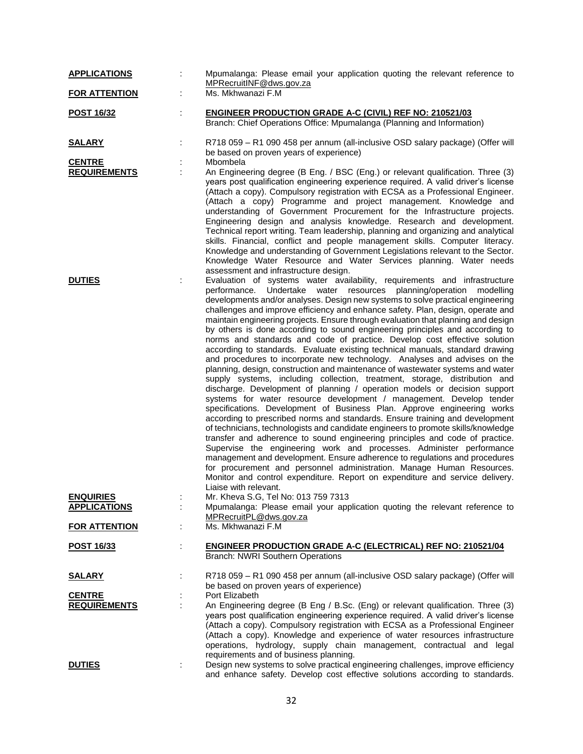| <b>APPLICATIONS</b>                  |    | Mpumalanga: Please email your application quoting the relevant reference to<br>MPRecruitINF@dws.gov.za                                                                                                                                                                                                                                                                                                                                                                                                                                                                                                                                                                                                                                                                                                                                                                                                                                                                                                                                                                                                                                                                                                                                                                                                                                                                                                                                                                                                                                                                                                                                                                                                                                |
|--------------------------------------|----|---------------------------------------------------------------------------------------------------------------------------------------------------------------------------------------------------------------------------------------------------------------------------------------------------------------------------------------------------------------------------------------------------------------------------------------------------------------------------------------------------------------------------------------------------------------------------------------------------------------------------------------------------------------------------------------------------------------------------------------------------------------------------------------------------------------------------------------------------------------------------------------------------------------------------------------------------------------------------------------------------------------------------------------------------------------------------------------------------------------------------------------------------------------------------------------------------------------------------------------------------------------------------------------------------------------------------------------------------------------------------------------------------------------------------------------------------------------------------------------------------------------------------------------------------------------------------------------------------------------------------------------------------------------------------------------------------------------------------------------|
| <b>FOR ATTENTION</b>                 | ÷  | Ms. Mkhwanazi F.M                                                                                                                                                                                                                                                                                                                                                                                                                                                                                                                                                                                                                                                                                                                                                                                                                                                                                                                                                                                                                                                                                                                                                                                                                                                                                                                                                                                                                                                                                                                                                                                                                                                                                                                     |
| <b>POST 16/32</b>                    | t. | <b>ENGINEER PRODUCTION GRADE A-C (CIVIL) REF NO: 210521/03</b><br>Branch: Chief Operations Office: Mpumalanga (Planning and Information)                                                                                                                                                                                                                                                                                                                                                                                                                                                                                                                                                                                                                                                                                                                                                                                                                                                                                                                                                                                                                                                                                                                                                                                                                                                                                                                                                                                                                                                                                                                                                                                              |
| <b>SALARY</b>                        | t, | R718 059 - R1 090 458 per annum (all-inclusive OSD salary package) (Offer will<br>be based on proven years of experience)                                                                                                                                                                                                                                                                                                                                                                                                                                                                                                                                                                                                                                                                                                                                                                                                                                                                                                                                                                                                                                                                                                                                                                                                                                                                                                                                                                                                                                                                                                                                                                                                             |
| <b>CENTRE</b>                        |    | Mbombela                                                                                                                                                                                                                                                                                                                                                                                                                                                                                                                                                                                                                                                                                                                                                                                                                                                                                                                                                                                                                                                                                                                                                                                                                                                                                                                                                                                                                                                                                                                                                                                                                                                                                                                              |
| <b>REQUIREMENTS</b>                  |    | An Engineering degree (B Eng. / BSC (Eng.) or relevant qualification. Three (3)<br>years post qualification engineering experience required. A valid driver's license<br>(Attach a copy). Compulsory registration with ECSA as a Professional Engineer.<br>(Attach a copy) Programme and project management. Knowledge and<br>understanding of Government Procurement for the Infrastructure projects.<br>Engineering design and analysis knowledge. Research and development.<br>Technical report writing. Team leadership, planning and organizing and analytical<br>skills. Financial, conflict and people management skills. Computer literacy.<br>Knowledge and understanding of Government Legislations relevant to the Sector.<br>Knowledge Water Resource and Water Services planning. Water needs<br>assessment and infrastructure design.                                                                                                                                                                                                                                                                                                                                                                                                                                                                                                                                                                                                                                                                                                                                                                                                                                                                                   |
| <b>DUTIES</b>                        |    | Evaluation of systems water availability, requirements and infrastructure<br>Undertake water resources planning/operation modelling<br>performance.<br>developments and/or analyses. Design new systems to solve practical engineering<br>challenges and improve efficiency and enhance safety. Plan, design, operate and<br>maintain engineering projects. Ensure through evaluation that planning and design<br>by others is done according to sound engineering principles and according to<br>norms and standards and code of practice. Develop cost effective solution<br>according to standards. Evaluate existing technical manuals, standard drawing<br>and procedures to incorporate new technology. Analyses and advises on the<br>planning, design, construction and maintenance of wastewater systems and water<br>supply systems, including collection, treatment, storage, distribution and<br>discharge. Development of planning / operation models or decision support<br>systems for water resource development / management. Develop tender<br>specifications. Development of Business Plan. Approve engineering works<br>according to prescribed norms and standards. Ensure training and development<br>of technicians, technologists and candidate engineers to promote skills/knowledge<br>transfer and adherence to sound engineering principles and code of practice.<br>Supervise the engineering work and processes. Administer performance<br>management and development. Ensure adherence to regulations and procedures<br>for procurement and personnel administration. Manage Human Resources.<br>Monitor and control expenditure. Report on expenditure and service delivery.<br>Liaise with relevant. |
| <b>ENQUIRIES</b>                     |    | Mr. Kheva S.G, Tel No: 013 759 7313                                                                                                                                                                                                                                                                                                                                                                                                                                                                                                                                                                                                                                                                                                                                                                                                                                                                                                                                                                                                                                                                                                                                                                                                                                                                                                                                                                                                                                                                                                                                                                                                                                                                                                   |
| <b>APPLICATIONS</b>                  |    | Mpumalanga: Please email your application quoting the relevant reference to                                                                                                                                                                                                                                                                                                                                                                                                                                                                                                                                                                                                                                                                                                                                                                                                                                                                                                                                                                                                                                                                                                                                                                                                                                                                                                                                                                                                                                                                                                                                                                                                                                                           |
| <b>FOR ATTENTION</b>                 | ÷  | MPRecruitPL@dws.gov.za<br>Ms. Mkhwanazi F.M                                                                                                                                                                                                                                                                                                                                                                                                                                                                                                                                                                                                                                                                                                                                                                                                                                                                                                                                                                                                                                                                                                                                                                                                                                                                                                                                                                                                                                                                                                                                                                                                                                                                                           |
| <u>POST 16/33</u>                    | ÷  | <b>ENGINEER PRODUCTION GRADE A-C (ELECTRICAL) REF NO: 210521/04</b><br><b>Branch: NWRI Southern Operations</b>                                                                                                                                                                                                                                                                                                                                                                                                                                                                                                                                                                                                                                                                                                                                                                                                                                                                                                                                                                                                                                                                                                                                                                                                                                                                                                                                                                                                                                                                                                                                                                                                                        |
| <u>SALARY</u>                        |    | R718 059 - R1 090 458 per annum (all-inclusive OSD salary package) (Offer will<br>be based on proven years of experience)                                                                                                                                                                                                                                                                                                                                                                                                                                                                                                                                                                                                                                                                                                                                                                                                                                                                                                                                                                                                                                                                                                                                                                                                                                                                                                                                                                                                                                                                                                                                                                                                             |
| <b>CENTRE</b><br><b>REQUIREMENTS</b> | ÷  | Port Elizabeth<br>An Engineering degree (B Eng / B.Sc. (Eng) or relevant qualification. Three (3)<br>years post qualification engineering experience required. A valid driver's license<br>(Attach a copy). Compulsory registration with ECSA as a Professional Engineer<br>(Attach a copy). Knowledge and experience of water resources infrastructure<br>operations, hydrology, supply chain management, contractual and legal<br>requirements and of business planning.                                                                                                                                                                                                                                                                                                                                                                                                                                                                                                                                                                                                                                                                                                                                                                                                                                                                                                                                                                                                                                                                                                                                                                                                                                                            |
| <b>DUTIES</b>                        | ÷  | Design new systems to solve practical engineering challenges, improve efficiency<br>and enhance safety. Develop cost effective solutions according to standards.                                                                                                                                                                                                                                                                                                                                                                                                                                                                                                                                                                                                                                                                                                                                                                                                                                                                                                                                                                                                                                                                                                                                                                                                                                                                                                                                                                                                                                                                                                                                                                      |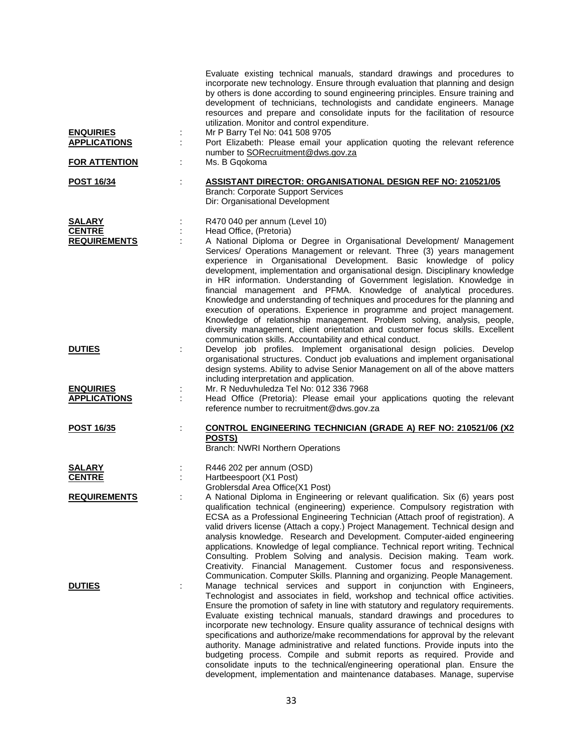| <b>ENQUIRIES</b><br><b>APPLICATIONS</b>        | ÷       | Evaluate existing technical manuals, standard drawings and procedures to<br>incorporate new technology. Ensure through evaluation that planning and design<br>by others is done according to sound engineering principles. Ensure training and<br>development of technicians, technologists and candidate engineers. Manage<br>resources and prepare and consolidate inputs for the facilitation of resource<br>utilization. Monitor and control expenditure.<br>Mr P Barry Tel No: 041 508 9705<br>Port Elizabeth: Please email your application quoting the relevant reference                                                                                                                                                                                                                                                                                                                               |
|------------------------------------------------|---------|----------------------------------------------------------------------------------------------------------------------------------------------------------------------------------------------------------------------------------------------------------------------------------------------------------------------------------------------------------------------------------------------------------------------------------------------------------------------------------------------------------------------------------------------------------------------------------------------------------------------------------------------------------------------------------------------------------------------------------------------------------------------------------------------------------------------------------------------------------------------------------------------------------------|
| <b>FOR ATTENTION</b>                           | ÷       | number to SORecruitment@dws.gov.za<br>Ms. B Gqokoma                                                                                                                                                                                                                                                                                                                                                                                                                                                                                                                                                                                                                                                                                                                                                                                                                                                            |
| <b>POST 16/34</b>                              | ÷       | <b>ASSISTANT DIRECTOR: ORGANISATIONAL DESIGN REF NO: 210521/05</b><br><b>Branch: Corporate Support Services</b><br>Dir: Organisational Development                                                                                                                                                                                                                                                                                                                                                                                                                                                                                                                                                                                                                                                                                                                                                             |
| SALARY<br><b>CENTRE</b><br><b>REQUIREMENTS</b> |         | R470 040 per annum (Level 10)<br>Head Office, (Pretoria)<br>A National Diploma or Degree in Organisational Development/ Management<br>Services/ Operations Management or relevant. Three (3) years management<br>experience in Organisational Development. Basic knowledge of policy<br>development, implementation and organisational design. Disciplinary knowledge<br>in HR information. Understanding of Government legislation. Knowledge in<br>financial management and PFMA. Knowledge of analytical procedures.<br>Knowledge and understanding of techniques and procedures for the planning and<br>execution of operations. Experience in programme and project management.<br>Knowledge of relationship management. Problem solving, analysis, people,<br>diversity management, client orientation and customer focus skills. Excellent<br>communication skills. Accountability and ethical conduct. |
| <b>DUTIES</b>                                  |         | Develop job profiles. Implement organisational design policies. Develop<br>organisational structures. Conduct job evaluations and implement organisational<br>design systems. Ability to advise Senior Management on all of the above matters<br>including interpretation and application.                                                                                                                                                                                                                                                                                                                                                                                                                                                                                                                                                                                                                     |
| <b>ENQUIRIES</b><br><b>APPLICATIONS</b>        | ţ,<br>÷ | Mr. R Neduvhuledza Tel No: 012 336 7968<br>Head Office (Pretoria): Please email your applications quoting the relevant<br>reference number to recruitment@dws.gov.za                                                                                                                                                                                                                                                                                                                                                                                                                                                                                                                                                                                                                                                                                                                                           |
| <b>POST 16/35</b>                              |         | <b>CONTROL ENGINEERING TECHNICIAN (GRADE A) REF NO: 210521/06 (X2)</b><br>POSTS)<br>Branch: NWRI Northern Operations                                                                                                                                                                                                                                                                                                                                                                                                                                                                                                                                                                                                                                                                                                                                                                                           |
| SALARY<br><b>CENTRE</b>                        |         | R446 202 per annum (OSD)<br>Hartbeespoort (X1 Post)<br>Groblersdal Area Office(X1 Post)                                                                                                                                                                                                                                                                                                                                                                                                                                                                                                                                                                                                                                                                                                                                                                                                                        |
| <b>REQUIREMENTS</b>                            |         | A National Diploma in Engineering or relevant qualification. Six (6) years post<br>qualification technical (engineering) experience. Compulsory registration with<br>ECSA as a Professional Engineering Technician (Attach proof of registration). A<br>valid drivers license (Attach a copy.) Project Management. Technical design and<br>analysis knowledge. Research and Development. Computer-aided engineering<br>applications. Knowledge of legal compliance. Technical report writing. Technical<br>Consulting. Problem Solving and analysis. Decision making. Team work.<br>Creativity. Financial Management. Customer focus and responsiveness.<br>Communication. Computer Skills. Planning and organizing. People Management.                                                                                                                                                                        |
| <b>DUTIES</b>                                  |         | Manage technical services and support in conjunction with Engineers,<br>Technologist and associates in field, workshop and technical office activities.<br>Ensure the promotion of safety in line with statutory and regulatory requirements.<br>Evaluate existing technical manuals, standard drawings and procedures to<br>incorporate new technology. Ensure quality assurance of technical designs with<br>specifications and authorize/make recommendations for approval by the relevant<br>authority. Manage administrative and related functions. Provide inputs into the<br>budgeting process. Compile and submit reports as required. Provide and<br>consolidate inputs to the technical/engineering operational plan. Ensure the                                                                                                                                                                     |

development, implementation and maintenance databases. Manage, supervise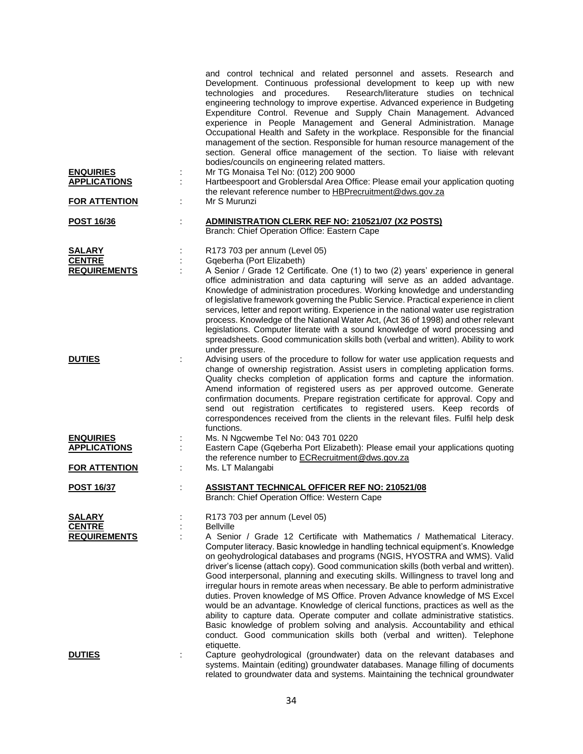| <b>ENQUIRIES</b><br><b>APPLICATIONS</b><br><b>FOR ATTENTION</b> | and control technical and related personnel and assets. Research and<br>Development. Continuous professional development to keep up with new<br>technologies and procedures.<br>Research/literature studies on technical<br>engineering technology to improve expertise. Advanced experience in Budgeting<br>Expenditure Control. Revenue and Supply Chain Management. Advanced<br>experience in People Management and General Administration. Manage<br>Occupational Health and Safety in the workplace. Responsible for the financial<br>management of the section. Responsible for human resource management of the<br>section. General office management of the section. To liaise with relevant<br>bodies/councils on engineering related matters.<br>Mr TG Monaisa Tel No: (012) 200 9000<br>÷<br>Hartbeespoort and Groblersdal Area Office: Please email your application quoting<br>the relevant reference number to HBPrecruitment@dws.gov.za<br>Mr S Murunzi |
|-----------------------------------------------------------------|------------------------------------------------------------------------------------------------------------------------------------------------------------------------------------------------------------------------------------------------------------------------------------------------------------------------------------------------------------------------------------------------------------------------------------------------------------------------------------------------------------------------------------------------------------------------------------------------------------------------------------------------------------------------------------------------------------------------------------------------------------------------------------------------------------------------------------------------------------------------------------------------------------------------------------------------------------------------|
|                                                                 |                                                                                                                                                                                                                                                                                                                                                                                                                                                                                                                                                                                                                                                                                                                                                                                                                                                                                                                                                                        |
| <b>POST 16/36</b>                                               | <b>ADMINISTRATION CLERK REF NO: 210521/07 (X2 POSTS)</b><br>Branch: Chief Operation Office: Eastern Cape                                                                                                                                                                                                                                                                                                                                                                                                                                                                                                                                                                                                                                                                                                                                                                                                                                                               |
| <b>SALARY</b>                                                   | R173 703 per annum (Level 05)                                                                                                                                                                                                                                                                                                                                                                                                                                                                                                                                                                                                                                                                                                                                                                                                                                                                                                                                          |
| <b>CENTRE</b>                                                   | Gqeberha (Port Elizabeth)                                                                                                                                                                                                                                                                                                                                                                                                                                                                                                                                                                                                                                                                                                                                                                                                                                                                                                                                              |
| <b>REQUIREMENTS</b>                                             | A Senior / Grade 12 Certificate. One (1) to two (2) years' experience in general<br>office administration and data capturing will serve as an added advantage.<br>Knowledge of administration procedures. Working knowledge and understanding<br>of legislative framework governing the Public Service. Practical experience in client<br>services, letter and report writing. Experience in the national water use registration<br>process. Knowledge of the National Water Act, (Act 36 of 1998) and other relevant<br>legislations. Computer literate with a sound knowledge of word processing and<br>spreadsheets. Good communication skills both (verbal and written). Ability to work<br>under pressure.                                                                                                                                                                                                                                                        |
| <b>DUTIES</b>                                                   | Advising users of the procedure to follow for water use application requests and<br>change of ownership registration. Assist users in completing application forms.<br>Quality checks completion of application forms and capture the information.<br>Amend information of registered users as per approved outcome. Generate<br>confirmation documents. Prepare registration certificate for approval. Copy and<br>send out registration certificates to registered users. Keep records of<br>correspondences received from the clients in the relevant files. Fulfil help desk<br>functions.                                                                                                                                                                                                                                                                                                                                                                         |
| <b>ENQUIRIES</b>                                                | Ms. N Ngcwembe Tel No: 043 701 0220                                                                                                                                                                                                                                                                                                                                                                                                                                                                                                                                                                                                                                                                                                                                                                                                                                                                                                                                    |
| <b>APPLICATIONS</b>                                             | Eastern Cape (Gqeberha Port Elizabeth): Please email your applications quoting                                                                                                                                                                                                                                                                                                                                                                                                                                                                                                                                                                                                                                                                                                                                                                                                                                                                                         |
| <b>FOR ATTENTION</b>                                            | the reference number to ECRecruitment@dws.gov.za<br>Ms. LT Malangabi                                                                                                                                                                                                                                                                                                                                                                                                                                                                                                                                                                                                                                                                                                                                                                                                                                                                                                   |
| <b>POST 16/37</b>                                               | <b>ASSISTANT TECHNICAL OFFICER REF NO: 210521/08</b><br>Branch: Chief Operation Office: Western Cape                                                                                                                                                                                                                                                                                                                                                                                                                                                                                                                                                                                                                                                                                                                                                                                                                                                                   |
| SALARY                                                          | R173 703 per annum (Level 05)                                                                                                                                                                                                                                                                                                                                                                                                                                                                                                                                                                                                                                                                                                                                                                                                                                                                                                                                          |
| <b>CENTRE</b>                                                   | <b>Bellville</b>                                                                                                                                                                                                                                                                                                                                                                                                                                                                                                                                                                                                                                                                                                                                                                                                                                                                                                                                                       |
| <b>REQUIREMENTS</b>                                             | A Senior / Grade 12 Certificate with Mathematics / Mathematical Literacy.<br>Computer literacy. Basic knowledge in handling technical equipment's. Knowledge<br>on geohydrological databases and programs (NGIS, HYOSTRA and WMS). Valid<br>driver's license (attach copy). Good communication skills (both verbal and written).<br>Good interpersonal, planning and executing skills. Willingness to travel long and<br>irregular hours in remote areas when necessary. Be able to perform administrative<br>duties. Proven knowledge of MS Office. Proven Advance knowledge of MS Excel<br>would be an advantage. Knowledge of clerical functions, practices as well as the<br>ability to capture data. Operate computer and collate administrative statistics.<br>Basic knowledge of problem solving and analysis. Accountability and ethical<br>conduct. Good communication skills both (verbal and written). Telephone<br>etiquette.                              |
| <b>DUTIES</b>                                                   | Capture geohydrological (groundwater) data on the relevant databases and                                                                                                                                                                                                                                                                                                                                                                                                                                                                                                                                                                                                                                                                                                                                                                                                                                                                                               |
|                                                                 | systems. Maintain (editing) groundwater databases. Manage filling of documents<br>related to groundwater data and systems. Maintaining the technical groundwater                                                                                                                                                                                                                                                                                                                                                                                                                                                                                                                                                                                                                                                                                                                                                                                                       |